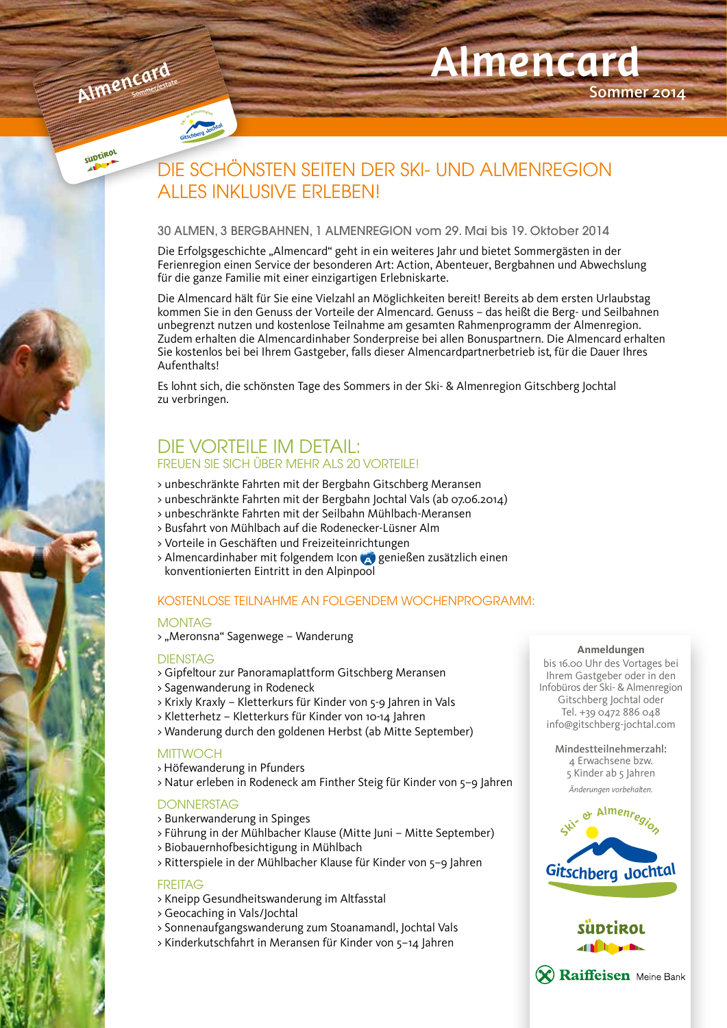# Almencard

 $Sommer$  2014



SUDEIROL

Almenregion

so schmeckt Bergsommer

Gitschberg <sup>J</sup>ochtal

# OUNU<br>:a .i .: DIE SCHÖNSTEN SEITEN DER SKI- UND ALMENREGION ALLES INKLUSIVE ERLEBEN!

# 30 ALMEN, 3 BERGBAHNEN, 1 ALMENREGION vom 29. Mai bis 19. Oktober 2014

Die Erfolgsgeschichte "Almencard" geht in ein weiteres Jahr und bietet Sommergästen in der Ferienregion einen Service der besonderen Art: Action, Abenteuer, Bergbahnen und Abwechslung für die ganze Familie mit einer einzigartigen Erlebniskarte.

Die Almencard hält für Sie eine Vielzahl an Möglichkeiten bereit! Bereits ab dem ersten Urlaubstag kommen Sie in den Genuss der Vorteile der Almencard. Genuss – das heißt die Berg- und Seilbahnen unbegrenzt nutzen und kostenlose Teilnahme am gesamten Rahmenprogramm der Almenregion. Zudem erhalten die Almencardinhaber Sonderpreise bei allen Bonuspartnern. Die Almencard erhalten Sie kostenlos bei bei Ihrem Gastgeber, falls dieser Almencardpartnerbetrieb ist, für die Dauer Ihres Aufenthalts!

Es lohnt sich, die schönsten Tage des Sommers in der Ski- & Almenregion Gitschberg Jochtal zu verbringen.

# DIE VORTEILE IM DETAIL: FREUEN SIE SICH ÜBER MEHR ALS 20 VORTEILE!

- > unbeschränkte Fahrten mit der Bergbahn Gitschberg Meransen
- > unbeschränkte Fahrten mit der Bergbahn Jochtal Vals (ab 07.06.2014)
- > unbeschränkte Fahrten mit der Seilbahn Mühlbach-Meransen
- > Busfahrt von Mühlbach auf die Rodenecker-Lüsner Alm
- > Vorteile in Geschäften und Freizeiteinrichtungen
- > Almencardinhaber mit folgendem Icon <a>
genießen zusätzlich einen konventionierten Eintritt in den Alpinpool

# KOSTENLOSE TEILNAHME AN FOLGENDEM WOCHENPROGRAMM:

#### MONTAG

> "Meronsna" Sagenwege – Wanderung

#### **DIENSTAG**

- > Gipfeltour zur Panoramaplattform Gitschberg Meransen
- > Sagenwanderung in Rodeneck
- > Krixly Kraxly Kletterkurs für Kinder von 5-9 Jahren in Vals
- > Kletterhetz Kletterkurs für Kinder von 10-14 Jahren
- > Wanderung durch den goldenen Herbst (ab Mitte September)

#### **MITTWOCH**

- > Höfewanderung in Pfunders
- > Natur erleben in Rodeneck am Finther Steig für Kinder von 5–9 Jahren

#### DONNERSTAG

- > Bunkerwanderung in Spinges
- > Führung in der Mühlbacher Klause (Mitte Juni Mitte September)
- > Biobauernhofbesichtigung in Mühlbach
- > Ritterspiele in der Mühlbacher Klause für Kinder von 5–9 Jahren

#### **FREITAG**

- > Kneipp Gesundheitswanderung im Altfasstal
- > Geocaching in Vals/Jochtal
- > Sonnenaufgangswanderung zum Stoanamandl, Jochtal Vals
- > Kinderkutschfahrt in Meransen für Kinder von 5–14 Jahren

#### **Anmeldungen**

bis 16.00 Uhr des Vortages bei Ihrem Gastgeber oder in den Infobüros der Ski- & Almenregion Gitschberg Jochtal oder Tel. +39 0472 886 048 info@gitschberg-jochtal.com

Mindestteilnehmerzahl: 4 Erwachsene bzw. 5 Kinder ab 5 Jahren *Änderungen vorbehalten.*





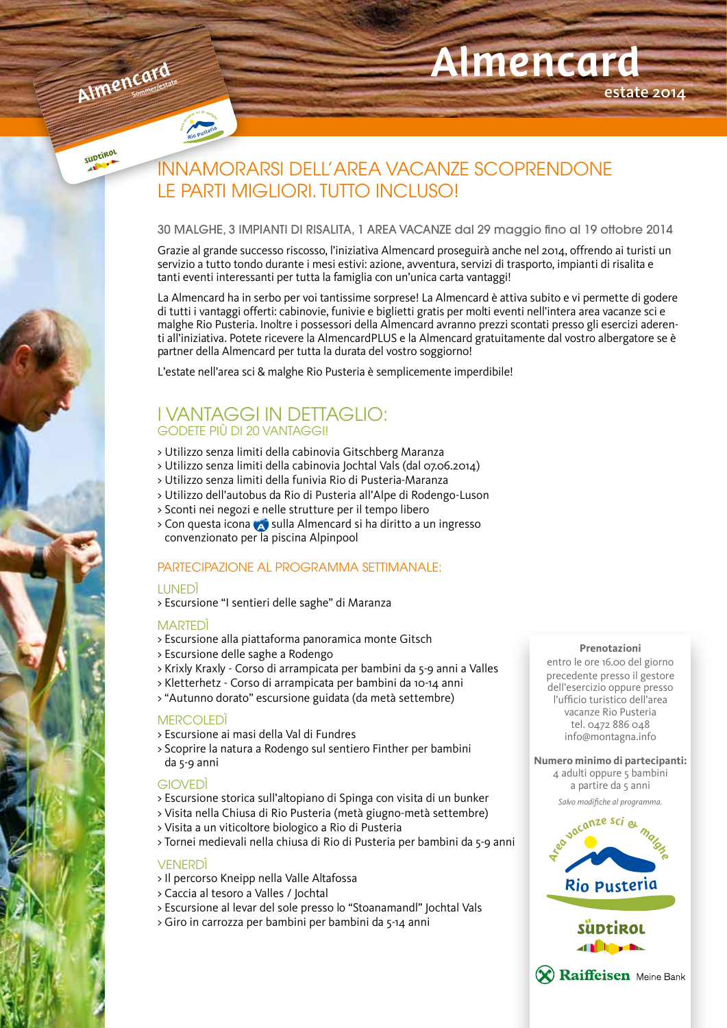# INNAMORARSI DELL'AREA VACANZE SCOPRENDONE LE PARTI MIGLIORI. TUTTO INCLUSO!

#### 30 MALGHE, 3 IMPIANTI DI RISALITA, 1 AREA VACANZE dal 29 maggio fino al 19 ottobre 2014

 $e^{i\theta}$  estate 2014

Grazie al grande successo riscosso, l'iniziativa Almencard proseguirà anche nel 2014, offrendo ai turisti un servizio a tutto tondo durante i mesi estivi: azione, avventura, servizi di trasporto, impianti di risalita e tanti eventi interessanti per tutta la famiglia con un'unica carta vantaggi!

La Almencard ha in serbo per voi tantissime sorprese! La Almencard è attiva subito e vi permette di godere di tutti i vantaggi offerti: cabinovie, funivie e biglietti gratis per molti eventi nell'intera area vacanze sci e malghe Rio Pusteria. Inoltre i possessori della Almencard avranno prezzi scontati presso gli esercizi aderenti all'iniziativa. Potete ricevere la AlmencardPLUS e la Almencard gratuitamente dal vostro albergatore se è partner della Almencard per tutta la durata del vostro soggiorno!

L'estate nell'area sci & malghe Rio Pusteria è semplicemente imperdibile!

# I VANTAGGI IN DETTAGLIO: GODETE PIÙ DI 20 VANTAGGI!

- > Utilizzo senza limiti della cabinovia Gitschberg Maranza
- > Utilizzo senza limiti della cabinovia Jochtal Vals (dal 07.06.2014)
- > Utilizzo senza limiti della funivia Rio di Pusteria-Maranza
- > Utilizzo dell'autobus da Rio di Pusteria all'Alpe di Rodengo-Luson
- > Sconti nei negozi e nelle strutture per il tempo libero
- > Con questa icona sulla Almencard si ha diritto a un ingresso convenzionato per la piscina Alpinpool

# PARTECIPAZIONE AL PROGRAMMA SETTIMANALE:

#### LUNEDÌ

 $\overline{\phantom{a}}$ 

Almencard

SUDEIROL

so schmeckt Bergsommer Ski- & <sup>A</sup>lmenregio<sup>n</sup>

 $\mathcal{G}$ 

so schmeckt Bergwinter

Areamse sci & malghe <sup>R</sup>i<sup>o</sup> <sup>P</sup>usteri<sup>a</sup>

> Escursione "I sentieri delle saghe" di Maranza

# MARTEDÌ

- > Escursione alla piattaforma panoramica monte Gitsch
- > Escursione delle saghe a Rodengo
- > Krixly Kraxly Corso di arrampicata per bambini da 5-9 anni a Valles
- > Kletterhetz Corso di arrampicata per bambini da 10-14 anni
- > "Autunno dorato" escursione guidata (da metà settembre)

# MERCOLEDÌ

- > Escursione ai masi della Val di Fundres
- > Scoprire la natura a Rodengo sul sentiero Finther per bambini da 5-9 anni

# GIOVEDÌ

- > Escursione storica sull'altopiano di Spinga con visita di un bunker
- > Visita nella Chiusa di Rio Pusteria (metà giugno-metà settembre)
- > Visita a un viticoltore biologico a Rio di Pusteria
- > Tornei medievali nella chiusa di Rio di Pusteria per bambini da 5-9 anni

#### VENERDÌ

- > Il percorso Kneipp nella Valle Altafossa
- > Caccia al tesoro a Valles / Jochtal
- > Escursione al levar del sole presso lo "Stoanamandl" Jochtal Vals
- > Giro in carrozza per bambini per bambini da 5-14 anni

#### **Prenotazioni**

Almencard

ter. 0472 000 040<br>info@montagna.info precedente presso il gestore<br>dell'esercizio oppure presso entro le ore 16.00 del giorno precedente presso il gestore l'ufficio turistico dell'area vacanze Rio Pusteria tel. 0472 886 048

#### **Numero minimo di partecipanti:**

a so summo ai partectipa<br>4 adulti oppure 5 bambini a partire da 5 anni

*Salvo modifiche al programma.*